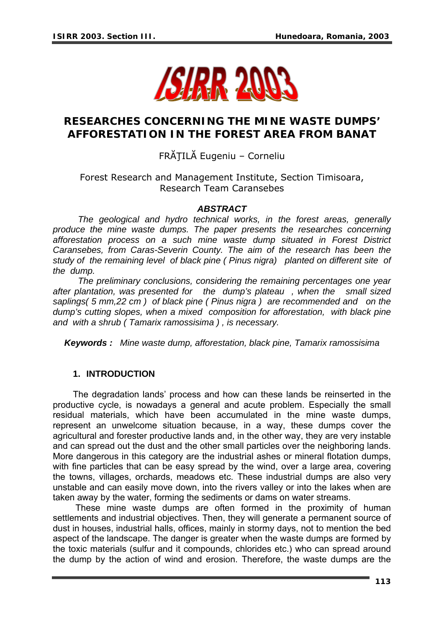

# **RESEARCHES CONCERNING THE MINE WASTE DUMPS' AFFORESTATION IN THE FOREST AREA FROM BANAT**

# FRĂŢILĂ Eugeniu – Corneliu

## Forest Research and Management Institute, Section Timisoara, Research Team Caransebes

#### *ABSTRACT*

 *The geological and hydro technical works, in the forest areas, generally produce the mine waste dumps. The paper presents the researches concerning afforestation process on a such mine waste dump situated in Forest District Caransebes, from Caras-Severin County. The aim of the research has been the study of the remaining level of black pine ( Pinus nigra) planted on different site of the dump.* 

 *The preliminary conclusions, considering the remaining percentages one year after plantation, was presented for the dump's plateau , when the small sized saplings( 5 mm,22 cm ) of black pine ( Pinus nigra ) are recommended and on the dump's cutting slopes, when a mixed composition for afforestation, with black pine and with a shrub ( Tamarix ramossisima ) , is necessary.*

*Keywords : Mine waste dump, afforestation, black pine, Tamarix ramossisima*

#### **1. INTRODUCTION**

The degradation lands' process and how can these lands be reinserted in the productive cycle, is nowadays a general and acute problem. Especially the small residual materials, which have been accumulated in the mine waste dumps, represent an unwelcome situation because, in a way, these dumps cover the agricultural and forester productive lands and, in the other way, they are very instable and can spread out the dust and the other small particles over the neighboring lands. More dangerous in this category are the industrial ashes or mineral flotation dumps, with fine particles that can be easy spread by the wind, over a large area, covering the towns, villages, orchards, meadows etc. These industrial dumps are also very unstable and can easily move down, into the rivers valley or into the lakes when are taken away by the water, forming the sediments or dams on water streams.

 These mine waste dumps are often formed in the proximity of human settlements and industrial objectives. Then, they will generate a permanent source of dust in houses, industrial halls, offices, mainly in stormy days, not to mention the bed aspect of the landscape. The danger is greater when the waste dumps are formed by the toxic materials (sulfur and it compounds, chlorides etc.) who can spread around the dump by the action of wind and erosion. Therefore, the waste dumps are the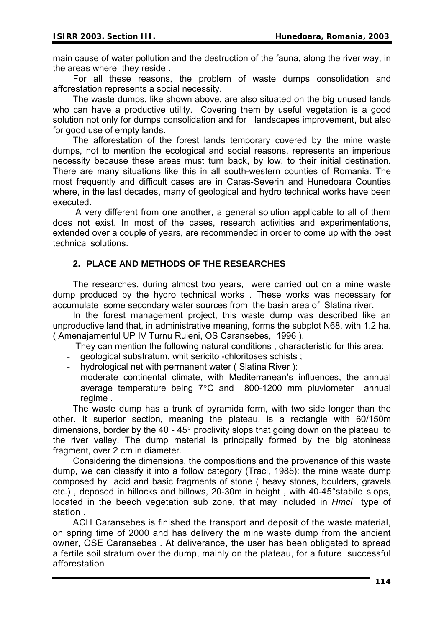main cause of water pollution and the destruction of the fauna, along the river way, in the areas where they reside .

For all these reasons, the problem of waste dumps consolidation and afforestation represents a social necessity.

The waste dumps, like shown above, are also situated on the big unused lands who can have a productive utility. Covering them by useful vegetation is a good solution not only for dumps consolidation and for landscapes improvement, but also for good use of empty lands.

The afforestation of the forest lands temporary covered by the mine waste dumps, not to mention the ecological and social reasons, represents an imperious necessity because these areas must turn back, by low, to their initial destination. There are many situations like this in all south-western counties of Romania. The most frequently and difficult cases are in Caras-Severin and Hunedoara Counties where, in the last decades, many of geological and hydro technical works have been executed.

 A very different from one another, a general solution applicable to all of them does not exist. In most of the cases, research activities and experimentations, extended over a couple of years, are recommended in order to come up with the best technical solutions.

## **2. PLACE AND METHODS OF THE RESEARCHES**

The researches, during almost two years, were carried out on a mine waste dump produced by the hydro technical works . These works was necessary for accumulate some secondary water sources from the basin area of Slatina river.

In the forest management project, this waste dump was described like an unproductive land that, in administrative meaning, forms the subplot N68, with 1.2 ha. ( Amenajamentul UP IV Turnu Ruieni, OS Caransebes, 1996 ).

They can mention the following natural conditions , characteristic for this area:

- geological substratum, whit sericito -chloritoses schists;
- hydrological net with permanent water ( Slatina River ):
- moderate continental climate, with Mediterranean's influences, the annual average temperature being 7°C and 800-1200 mm pluviometer annual regime .

The waste dump has a trunk of pyramida form, with two side longer than the other. It superior section, meaning the plateau, is a rectangle with 60/150m dimensions, border by the 40 - 45 $^{\circ}$  proclivity slops that going down on the plateau to the river valley. The dump material is principally formed by the big stoniness fragment, over 2 cm in diameter.

Considering the dimensions, the compositions and the provenance of this waste dump, we can classify it into a follow category (Traci, 1985): the mine waste dump composed by acid and basic fragments of stone ( heavy stones, boulders, gravels etc.) , deposed in hillocks and billows, 20-30m in height , with 40-45°stabile slops, located in the beech vegetation sub zone, that may included in *Hmcl* type of station .

ACH Caransebes is finished the transport and deposit of the waste material, on spring time of 2000 and has delivery the mine waste dump from the ancient owner, OSE Caransebes . At deliverance, the user has been obligated to spread a fertile soil stratum over the dump, mainly on the plateau, for a future successful afforestation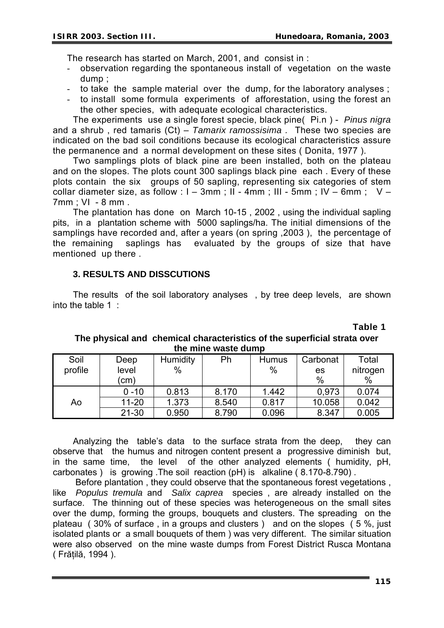The research has started on March, 2001, and consist in :

- observation regarding the spontaneous install of vegetation on the waste dump ;
- to take the sample material over the dump, for the laboratory analyses ;
- to install some formula experiments of afforestation, using the forest an the other species, with adequate ecological characteristics.

The experiments use a single forest specie, black pine( Pi.n ) - *Pinus nigra*  and a shrub , red tamaris (Ct) – *Tamarix ramossisima .* These two species are indicated on the bad soil conditions because its ecological characteristics assure the permanence and a normal development on these sites ( Donita, 1977 ).

Two samplings plots of black pine are been installed, both on the plateau and on the slopes. The plots count 300 saplings black pine each . Every of these plots contain the six groups of 50 sapling, representing six categories of stem collar diameter size, as follow :  $I - 3$ mm ; II - 4mm ; III - 5mm ; IV – 6mm ; V – 7mm ; VI - 8 mm .

The plantation has done on March 10-15 , 2002 , using the individual sapling pits, in a plantation scheme with 5000 saplings/ha. The initial dimensions of the samplings have recorded and, after a years (on spring ,2003 ), the percentage of the remaining saplings has evaluated by the groups of size that have mentioned up there .

#### **3. RESULTS AND DISSCUTIONS**

The results of the soil laboratory analyses , by tree deep levels, are shown into the table 1 :

| ult illiit wasto aanib |           |          |       |              |          |          |  |  |
|------------------------|-----------|----------|-------|--------------|----------|----------|--|--|
| Soil                   | Deep      | Humidity | Ph    | <b>Humus</b> | Carbonat | Total    |  |  |
| profile                | level     | $\%$     |       | $\%$         | es       | nitrogen |  |  |
|                        | (cm)      |          |       |              | $\%$     | $\%$     |  |  |
|                        | $0 - 10$  | 0.813    | 8.170 | 1.442        | 0,973    | 0.074    |  |  |
| Ao                     | $11 - 20$ | 1.373    | 8.540 | 0.817        | 10.058   | 0.042    |  |  |
|                        | $21 - 30$ | 0.950    | 8.790 | 0.096        | 8.347    | 0.005    |  |  |

## **The physical and chemical characteristics of the superficial strata over the mine waste dump**

Analyzing the table's data to the surface strata from the deep, they can observe that the humus and nitrogen content present a progressive diminish but, in the same time, the level of the other analyzed elements ( humidity, pH, carbonates ) is growing .The soil reaction (pH) is alkaline ( 8.170-8.790) .

 Before plantation , they could observe that the spontaneous forest vegetations , like *Populus tremula* and *Salix caprea* species , are already installed on the surface. The thinning out of these species was heterogeneous on the small sites over the dump, forming the groups, bouquets and clusters. The spreading on the plateau ( 30% of surface , in a groups and clusters ) and on the slopes ( 5 %, just isolated plants or a small bouquets of them ) was very different. The similar situation were also observed on the mine waste dumps from Forest District Rusca Montana ( Frăţilă, 1994 ).

**Table 1**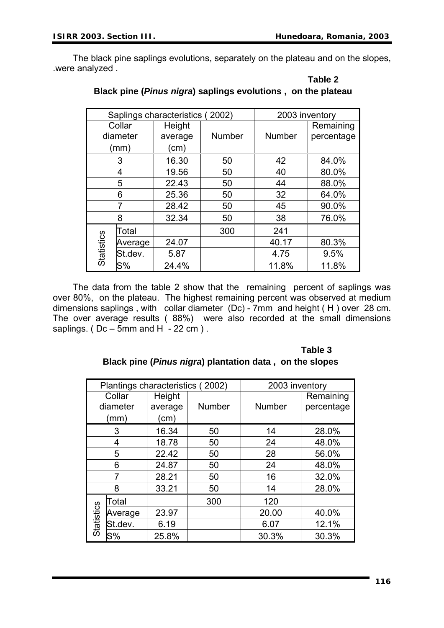**Table 2** 

The black pine saplings evolutions, separately on the plateau and on the slopes, .were analyzed .

|            |         | Saplings characteristics (2002) | 2003 inventory |               |            |
|------------|---------|---------------------------------|----------------|---------------|------------|
| Collar     |         | Height                          |                |               | Remaining  |
| diameter   |         | average                         | <b>Number</b>  | <b>Number</b> | percentage |
| (mm)       |         | (cm)                            |                |               |            |
| 3          |         | 16.30                           | 50             | 42            | 84.0%      |
| 4          |         | 19.56                           | 50             | 40            | 80.0%      |
| 5          |         | 22.43                           | 50             | 44            | 88.0%      |
| 6          |         | 25.36                           | 50             | 32            | 64.0%      |
|            |         | 28.42                           | 50             | 45            | 90.0%      |
| 8          |         | 32.34                           | 50             | 38            | 76.0%      |
| Statistics | Total   |                                 | 300            | 241           |            |
|            | Average | 24.07                           |                | 40.17         | 80.3%      |
|            | St.dev. | 5.87                            |                | 4.75          | 9.5%       |
|            | $S\%$   | 24.4%                           |                | 11.8%         | 11.8%      |

## **Black pine (***Pinus nigra***) saplings evolutions , on the plateau**

The data from the table 2 show that the remaining percent of saplings was over 80%, on the plateau. The highest remaining percent was observed at medium dimensions saplings , with collar diameter (Dc) - 7mm and height ( H ) over 28 cm. The over average results ( 88%) were also recorded at the small dimensions saplings. ( $Dc - 5$ mm and H  $-22$  cm ).

## **Table 3 Black pine (***Pinus nigra***) plantation data , on the slopes**

| Plantings characteristics (2002) |         |         | 2003 inventory |               |            |
|----------------------------------|---------|---------|----------------|---------------|------------|
| Collar                           |         | Height  |                |               | Remaining  |
| diameter                         |         | average | Number         | <b>Number</b> | percentage |
| (mm)                             |         | (cm)    |                |               |            |
| 3                                |         | 16.34   | 50             | 14            | 28.0%      |
| 4                                |         | 18.78   | 50             | 24            | 48.0%      |
| 5                                |         | 22.42   | 50             | 28            | 56.0%      |
| 6                                |         | 24.87   | 50             | 24            | 48.0%      |
| 7                                |         | 28.21   | 50             | 16            | 32.0%      |
| 8                                |         | 33.21   | 50             | 14            | 28.0%      |
| Statistics                       | Total   |         | 300            | 120           |            |
|                                  | Average | 23.97   |                | 20.00         | 40.0%      |
|                                  | St.dev. | 6.19    |                | 6.07          | 12.1%      |
|                                  | $S\%$   | 25.8%   |                | 30.3%         | 30.3%      |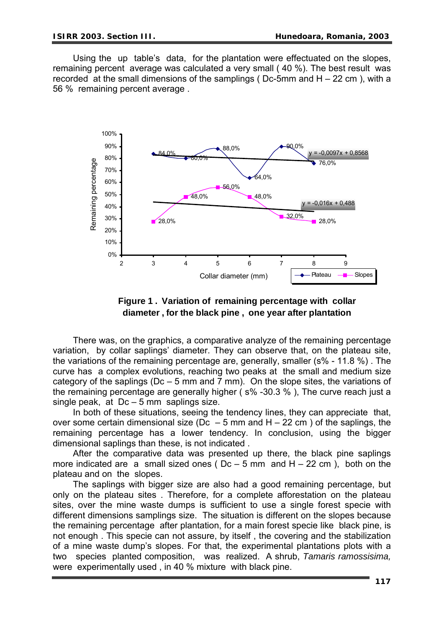Using the up table's data, for the plantation were effectuated on the slopes, remaining percent average was calculated a very small ( 40 %). The best result was recorded at the small dimensions of the samplings ( $Dc-5$ mm and  $H - 22$  cm), with a 56 % remaining percent average .



**Figure 1 . Variation of remaining percentage with collar diameter , for the black pine , one year after plantation** 

There was, on the graphics, a comparative analyze of the remaining percentage variation, by collar saplings' diameter. They can observe that, on the plateau site, the variations of the remaining percentage are, generally, smaller (s% - 11.8 %) . The curve has a complex evolutions, reaching two peaks at the small and medium size category of the saplings ( $Dc - 5$  mm and 7 mm). On the slope sites, the variations of the remaining percentage are generally higher ( s% -30.3 % ), The curve reach just a single peak, at Dc – 5 mm saplings size.

In both of these situations, seeing the tendency lines, they can appreciate that, over some certain dimensional size (Dc  $-5$  mm and H  $-22$  cm) of the saplings, the remaining percentage has a lower tendency. In conclusion, using the bigger dimensional saplings than these, is not indicated .

After the comparative data was presented up there, the black pine saplings more indicated are a small sized ones ( $Dc - 5$  mm and  $H - 22$  cm), both on the plateau and on the slopes.

The saplings with bigger size are also had a good remaining percentage, but only on the plateau sites . Therefore, for a complete afforestation on the plateau sites, over the mine waste dumps is sufficient to use a single forest specie with different dimensions samplings size. The situation is different on the slopes because the remaining percentage after plantation, for a main forest specie like black pine, is not enough . This specie can not assure, by itself , the covering and the stabilization of a mine waste dump's slopes. For that, the experimental plantations plots with a two species planted composition, was realized. A shrub, *Tamaris ramossisima,*  were experimentally used , in 40 % mixture with black pine.